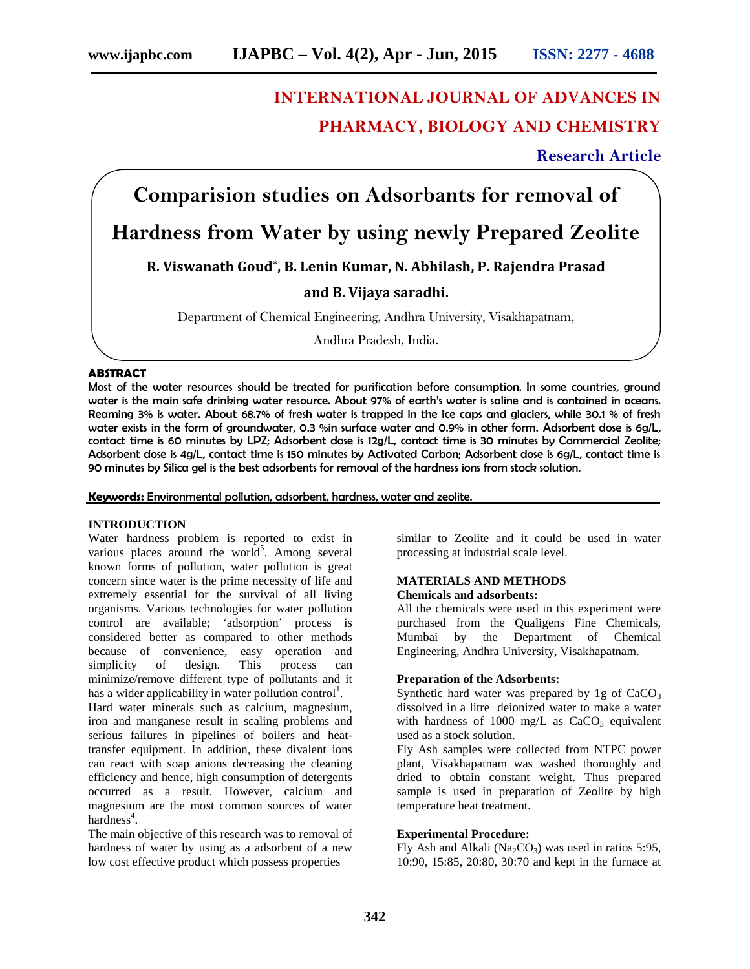# **INTERNATIONAL JOURNAL OF ADVANCES IN PHARMACY, BIOLOGY AND CHEMISTRY**

**Research Article**

## **Comparision studies on Adsorbants for removal of**

## **Hardness from Water by using newly Prepared Zeolite**

**R. Viswanath Goud\* , B. Lenin Kumar, N. Abhilash, P. Rajendra Prasad**

## **and B. Vijaya saradhi.**

Department of Chemical Engineering, Andhra University, Visakhapatnam,

Andhra Pradesh, India.

## **ABSTRACT**

Most of the water resources should be treated for purification before consumption. In some countries, ground water is the main safe drinking water resource. About 97% of earth's water is saline and is contained in oceans. Reaming 3% is water. About 68.7% of fresh water is trapped in the ice caps and glaciers, while 30.1 % of fresh water exists in the form of groundwater, 0.3 %in surface water and 0.9% in other form. Adsorbent dose is 6g/L, contact time is 60 minutes by LPZ; Adsorbent dose is 12g/L, contact time is 30 minutes by Commercial Zeolite; Adsorbent dose is 4g/L, contact time is 150 minutes by Activated Carbon; Adsorbent dose is 6g/L, contact time is 90 minutes by Silica gel is the best adsorbents for removal of the hardness ions from stock solution.

**Keywords:** Environmental pollution, adsorbent, hardness, water and zeolite.

#### **INTRODUCTION**

Water hardness problem is reported to exist in various places around the world<sup>5</sup>. Among several known forms of pollution, water pollution is great concern since water is the prime necessity of life and extremely essential for the survival of all living organisms. Various technologies for water pollution control are available; 'adsorption' process is considered better as compared to other methods because of convenience, easy operation and simplicity of design. This process can minimize/remove different type of pollutants and it has a wider applicability in water pollution control<sup>1</sup>.

Hard water minerals such as calcium, magnesium, iron and manganese result in scaling problems and serious failures in pipelines of boilers and heattransfer equipment. In addition, these divalent ions can react with soap anions decreasing the cleaning efficiency and hence, high consumption of detergents occurred as a result. However, calcium and magnesium are the most common sources of water hardness<sup>4</sup>.

The main objective of this research was to removal of hardness of water by using as a adsorbent of a new low cost effective product which possess properties

similar to Zeolite and it could be used in water processing at industrial scale level.

#### **MATERIALS AND METHODS Chemicals and adsorbents:**

All the chemicals were used in this experiment were purchased from the Qualigens Fine Chemicals, Mumbai by the Department of Chemical Engineering, Andhra University, Visakhapatnam.

## **Preparation of the Adsorbents:**

Synthetic hard water was prepared by 1g of  $CaCO<sub>3</sub>$ dissolved in a litre deionized water to make a water with hardness of 1000 mg/L as  $CaCO<sub>3</sub>$  equivalent used as a stock solution.

Fly Ash samples were collected from NTPC power plant, Visakhapatnam was washed thoroughly and dried to obtain constant weight. Thus prepared sample is used in preparation of Zeolite by high temperature heat treatment.

## **Experimental Procedure:**

Fly Ash and Alkali (Na<sub>2</sub>CO<sub>3</sub>) was used in ratios 5:95, 10:90, 15:85, 20:80, 30:70 and kept in the furnace at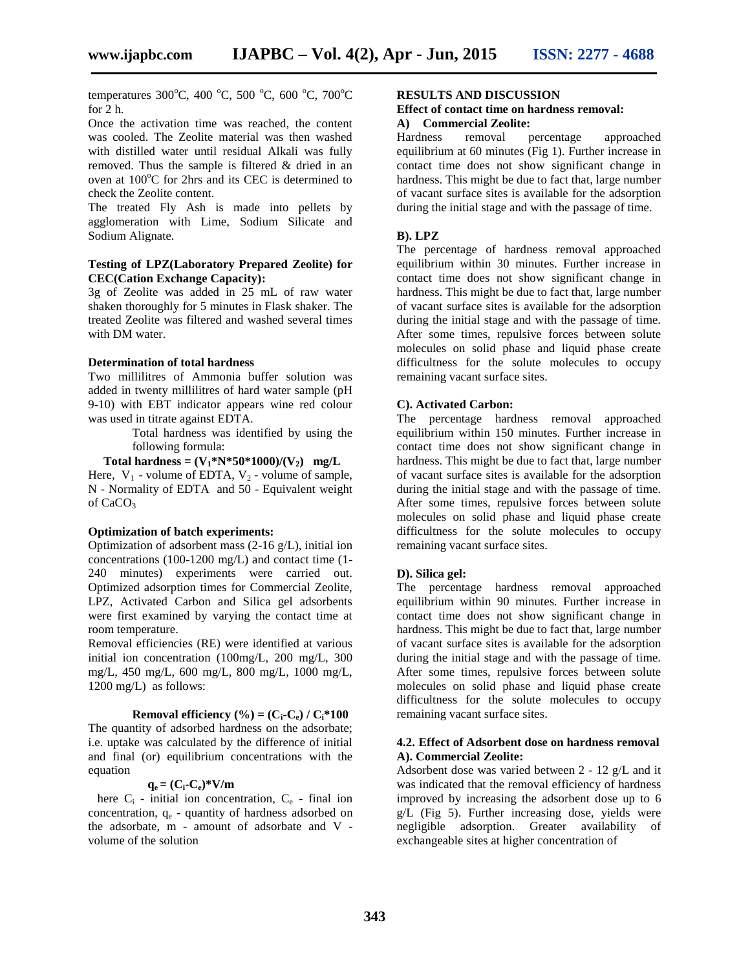temperatures 300°C, 400 °C, 500 °C, 600 °C, 700°C for 2 h.

Once the activation time was reached, the content was cooled. The Zeolite material was then washed with distilled water until residual Alkali was fully removed. Thus the sample is filtered & dried in an oven at  $100^{\circ}$ C for 2hrs and its CEC is determined to check the Zeolite content.

The treated Fly Ash is made into pellets by agglomeration with Lime, Sodium Silicate and Sodium Alignate.

## **Testing of LPZ(Laboratory Prepared Zeolite) for CEC(Cation Exchange Capacity):**

3g of Zeolite was added in 25 mL of raw water shaken thoroughly for 5 minutes in Flask shaker. The treated Zeolite was filtered and washed several times with DM water.

#### **Determination of total hardness**

Two millilitres of Ammonia buffer solution was added in twenty millilitres of hard water sample (pH 9-10) with EBT indicator appears wine red colour was used in titrate against EDTA.

> Total hardness was identified by using the following formula:

**Total hardness =**  $(V_1^*N^*50^*1000)/(V_2)$  **mg/L** 

Here,  $V_1$  - volume of EDTA,  $V_2$  - volume of sample, N - Normality of EDTA and 50 - Equivalent weight of CaCO<sub>3</sub>

## **Optimization of batch experiments:**

Optimization of adsorbent mass (2-16 g/L), initial ion concentrations (100-1200 mg/L) and contact time (1- 240 minutes) experiments were carried out. Optimized adsorption times for Commercial Zeolite, LPZ, Activated Carbon and Silica gel adsorbents were first examined by varying the contact time at room temperature.

Removal efficiencies (RE) were identified at various initial ion concentration (100mg/L, 200 mg/L, 300 mg/L, 450 mg/L, 600 mg/L, 800 mg/L, 1000 mg/L, 1200 mg/L) as follows:

#### **Removal efficiency** (%) =  $(C_i - C_e) / C_i * 100$

The quantity of adsorbed hardness on the adsorbate; i.e. uptake was calculated by the difference of initial and final (or) equilibrium concentrations with the equation

## $q_e = (C_i - C_e) * V/m$

here  $C_i$  - initial ion concentration,  $C_e$  - final ion concentration,  $q_e$  - quantity of hardness adsorbed on the adsorbate, m - amount of adsorbate and V volume of the solution

## **RESULTS AND DISCUSSION**

#### **Effect of contact time on hardness removal: A) Commercial Zeolite:**

removal percentage approached equilibrium at 60 minutes (Fig 1). Further increase in contact time does not show significant change in hardness. This might be due to fact that, large number of vacant surface sites is available for the adsorption during the initial stage and with the passage of time.

#### **B). LPZ**

The percentage of hardness removal approached equilibrium within 30 minutes. Further increase in contact time does not show significant change in hardness. This might be due to fact that, large number of vacant surface sites is available for the adsorption during the initial stage and with the passage of time. After some times, repulsive forces between solute molecules on solid phase and liquid phase create difficultness for the solute molecules to occupy remaining vacant surface sites.

## **C). Activated Carbon:**

The percentage hardness removal approached equilibrium within 150 minutes. Further increase in contact time does not show significant change in hardness. This might be due to fact that, large number of vacant surface sites is available for the adsorption during the initial stage and with the passage of time. After some times, repulsive forces between solute molecules on solid phase and liquid phase create difficultness for the solute molecules to occupy remaining vacant surface sites.

#### **D). Silica gel:**

The percentage hardness removal approached equilibrium within 90 minutes. Further increase in contact time does not show significant change in hardness. This might be due to fact that, large number of vacant surface sites is available for the adsorption during the initial stage and with the passage of time. After some times, repulsive forces between solute molecules on solid phase and liquid phase create difficultness for the solute molecules to occupy remaining vacant surface sites.

#### **4.2. Effect of Adsorbent dose on hardness removal A). Commercial Zeolite:**

Adsorbent dose was varied between 2 - 12 g/L and it was indicated that the removal efficiency of hardness improved by increasing the adsorbent dose up to 6 g/L (Fig 5). Further increasing dose, yields were negligible adsorption. Greater availability of exchangeable sites at higher concentration of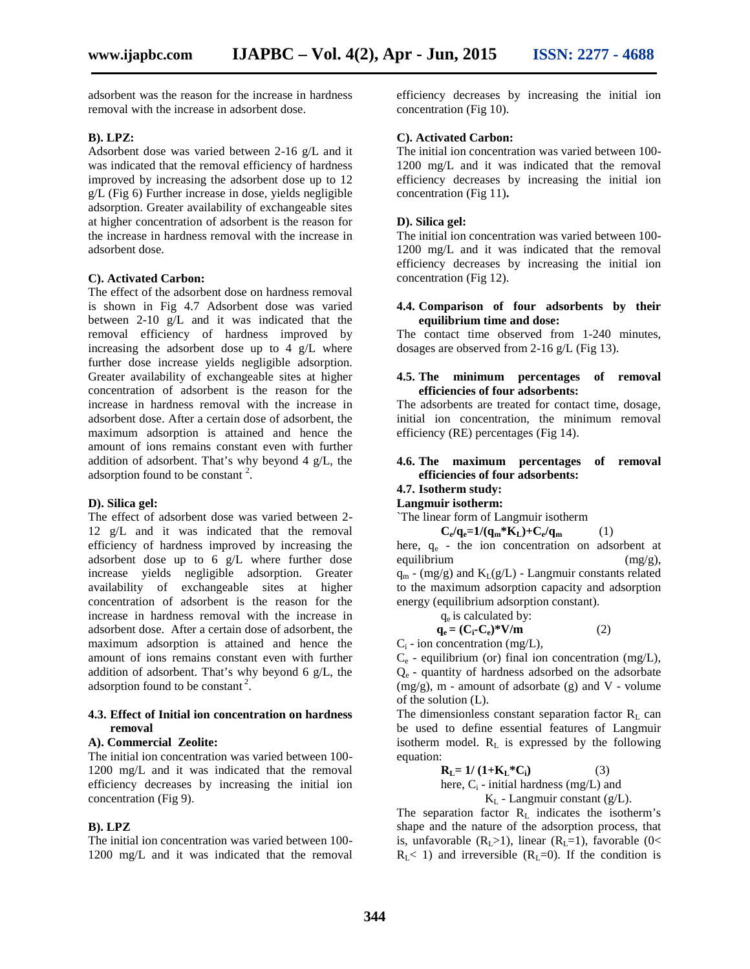adsorbent was the reason for the increase in hardness removal with the increase in adsorbent dose.

#### **B). LPZ:**

Adsorbent dose was varied between 2-16 g/L and it was indicated that the removal efficiency of hardness improved by increasing the adsorbent dose up to 12 g/L (Fig 6) Further increase in dose, yields negligible adsorption. Greater availability of exchangeable sites at higher concentration of adsorbent is the reason for the increase in hardness removal with the increase in adsorbent dose.

#### **C). Activated Carbon:**

The effect of the adsorbent dose on hardness removal is shown in Fig 4.7 Adsorbent dose was varied between 2-10 g/L and it was indicated that the removal efficiency of hardness improved by increasing the adsorbent dose up to 4 g/L where further dose increase yields negligible adsorption. Greater availability of exchangeable sites at higher concentration of adsorbent is the reason for the increase in hardness removal with the increase in adsorbent dose. After a certain dose of adsorbent, the maximum adsorption is attained and hence the amount of ions remains constant even with further addition of adsorbent. That's why beyond 4 g/L, the adsorption found to be constant  $2$ .

#### **D). Silica gel:**

The effect of adsorbent dose was varied between 2- 12 g/L and it was indicated that the removal efficiency of hardness improved by increasing the adsorbent dose up to 6 g/L where further dose increase yields negligible adsorption. Greater availability of exchangeable sites at higher concentration of adsorbent is the reason for the increase in hardness removal with the increase in adsorbent dose. After a certain dose of adsorbent, the maximum adsorption is attained and hence the amount of ions remains constant even with further addition of adsorbent. That's why beyond 6 g/L, the adsorption found to be constant<sup>2</sup>.

#### **4.3. Effect of Initial ion concentration on hardness removal**

#### **A). Commercial Zeolite:**

The initial ion concentration was varied between 100- 1200 mg/L and it was indicated that the removal efficiency decreases by increasing the initial ion concentration (Fig 9).

## **B). LPZ**

The initial ion concentration was varied between 100- 1200 mg/L and it was indicated that the removal

efficiency decreases by increasing the initial ion concentration (Fig 10).

## **C). Activated Carbon:**

The initial ion concentration was varied between 100- 1200 mg/L and it was indicated that the removal efficiency decreases by increasing the initial ion concentration (Fig 11)**.**

## **D). Silica gel:**

The initial ion concentration was varied between 100- 1200 mg/L and it was indicated that the removal efficiency decreases by increasing the initial ion concentration (Fig 12).

### **4.4. Comparison of four adsorbents by their equilibrium time and dose:**

The contact time observed from 1-240 minutes, dosages are observed from 2-16 g/L (Fig 13).

### **4.5. The minimum percentages of removal efficiencies of four adsorbents:**

The adsorbents are treated for contact time, dosage, initial ion concentration, the minimum removal efficiency (RE) percentages (Fig 14).

## **4.6. The maximum percentages of removal efficiencies of four adsorbents:**

## **4.7. Isotherm study:**

**Langmuir isotherm:**

`The linear form of Langmuir isotherm

$$
C_e/q_e=1/(q_m*K_L)+C_e/q_m\qquad \qquad (1)
$$

here,  $q_e$  - the ion concentration on adsorbent at equilibrium  $(mg/g)$ ,  $q_m$  - (mg/g) and  $K_L(g/L)$  - Langmuir constants related to the maximum adsorption capacity and adsorption energy (equilibrium adsorption constant).

q<sup>e</sup> is calculated by:

$$
\mathbf{q}_{e} = (\mathbf{C}_{i} - \mathbf{C}_{e})^* \mathbf{V} / \mathbf{m} \tag{2}
$$

 $C_i$  - ion concentration (mg/L),

 $C_e$  - equilibrium (or) final ion concentration (mg/L),  $Q<sub>e</sub>$  - quantity of hardness adsorbed on the adsorbate  $(mg/g)$ , m - amount of adsorbate  $(g)$  and V - volume of the solution (L).

The dimensionless constant separation factor  $R_L$  can be used to define essential features of Langmuir isotherm model.  $R_L$  is expressed by the following equation:

$$
\mathbf{R}_{\mathbf{L}} = 1/(1 + \mathbf{K}_{\mathbf{L}}^* \mathbf{C}_{\mathbf{i}})
$$
 (3)  
here, C<sub>i</sub> - initial hardness (mg/L) and  
K<sub>L</sub> - Langmuir constant (g/L).

The separation factor  $R_L$  indicates the isotherm's shape and the nature of the adsorption process, that is, unfavorable  $(R_L>1)$ , linear  $(R_L=1)$ , favorable  $(0<$  $R_L$ < 1) and irreversible ( $R_L$ =0). If the condition is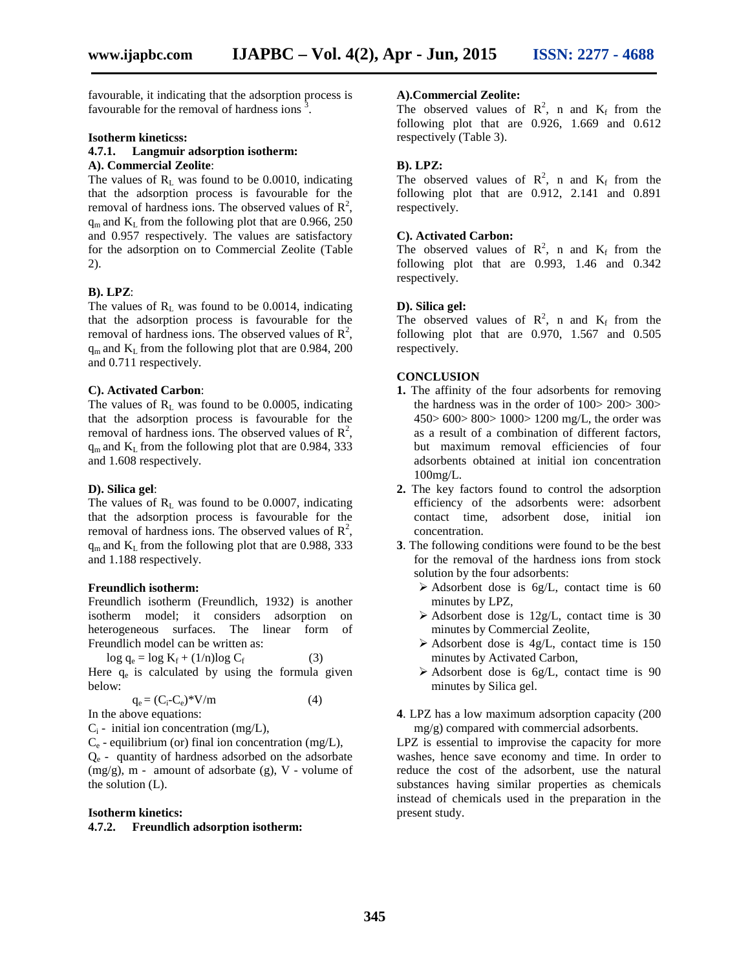favourable, it indicating that the adsorption process is favourable for the removal of hardness ions  $\frac{3}{2}$ .

#### **Isotherm kineticss:**

## **4.7.1. Langmuir adsorption isotherm: A). Commercial Zeolite**:

The values of  $R_L$  was found to be 0.0010, indicating that the adsorption process is favourable for the removal of hardness ions. The observed values of  $\mathbb{R}^2$ ,  $q_m$  and  $K_L$  from the following plot that are 0.966, 250 and 0.957 respectively. The values are satisfactory for the adsorption on to Commercial Zeolite (Table 2).

#### **B). LPZ**:

The values of  $R<sub>L</sub>$  was found to be 0.0014, indicating that the adsorption process is favourable for the removal of hardness ions. The observed values of  $\mathbb{R}^2$ ,  $q_m$  and  $K_L$  from the following plot that are 0.984, 200 and 0.711 respectively.

#### **C). Activated Carbon**:

The values of  $R<sub>L</sub>$  was found to be 0.0005, indicating that the adsorption process is favourable for the removal of hardness ions. The observed values of  $\mathbb{R}^2$ ,  $q_m$  and  $K_L$  from the following plot that are 0.984, 333 and 1.608 respectively.

#### **D). Silica gel**:

The values of  $R<sub>L</sub>$  was found to be 0.0007, indicating that the adsorption process is favourable for the removal of hardness ions. The observed values of  $\mathbb{R}^2$ ,  $q_m$  and  $K_L$  from the following plot that are 0.988, 333 and 1.188 respectively.

#### **Freundlich isotherm:**

Freundlich isotherm (Freundlich, 1932) is another isotherm model; it considers adsorption on heterogeneous surfaces. The linear form of Freundlich model can be written as:

 $\log q_e = \log K_f + (1/n)\log C_f$  (3) Here  $q_e$  is calculated by using the formula given below:

$$
q_e = (C_i - C_e)^* V/m \tag{4}
$$

In the above equations:

 $C_i$  - initial ion concentration (mg/L),

 $C_e$  - equilibrium (or) final ion concentration (mg/L), Q<sup>e</sup> - quantity of hardness adsorbed on the adsorbate (mg/g), m - amount of adsorbate (g), V - volume of the solution (L).

#### **Isotherm kinetics:**

#### **4.7.2. Freundlich adsorption isotherm:**

#### **A).Commercial Zeolite:**

The observed values of  $\mathbb{R}^2$ , n and  $K_f$  from the following plot that are 0.926, 1.669 and 0.612 respectively (Table 3).

#### **B). LPZ:**

The observed values of  $\mathbb{R}^2$ , n and  $K_f$  from the following plot that are 0.912, 2.141 and 0.891 respectively.

## **C). Activated Carbon:**

The observed values of  $\mathbb{R}^2$ , n and  $K_f$  from the following plot that are 0.993, 1.46 and 0.342 respectively.

#### **D). Silica gel:**

The observed values of  $R^2$ , n and  $K_f$  from the following plot that are 0.970, 1.567 and 0.505 respectively.

#### **CONCLUSION**

- **1.** The affinity of the four adsorbents for removing the hardness was in the order of 100> 200> 300> 450> 600> 800> 1000> 1200 mg/L, the order was as a result of a combination of different factors, but maximum removal efficiencies of four adsorbents obtained at initial ion concentration 100mg/L.
- **2.** The key factors found to control the adsorption efficiency of the adsorbents were: adsorbent contact time, adsorbent dose, initial ion concentration.
- **3**. The following conditions were found to be the best for the removal of the hardness ions from stock solution by the four adsorbents:
	- $\triangleright$  Adsorbent dose is 6g/L, contact time is 60 minutes by LPZ,
	- $\triangleright$  Adsorbent dose is 12g/L, contact time is 30 minutes by Commercial Zeolite,
	- $\triangleright$  Adsorbent dose is 4g/L, contact time is 150 minutes by Activated Carbon,
	- $\triangleright$  Adsorbent dose is 6g/L, contact time is 90 minutes by Silica gel.
- **4**. LPZ has a low maximum adsorption capacity (200 mg/g) compared with commercial adsorbents.

LPZ is essential to improvise the capacity for more washes, hence save economy and time. In order to reduce the cost of the adsorbent, use the natural substances having similar properties as chemicals instead of chemicals used in the preparation in the present study.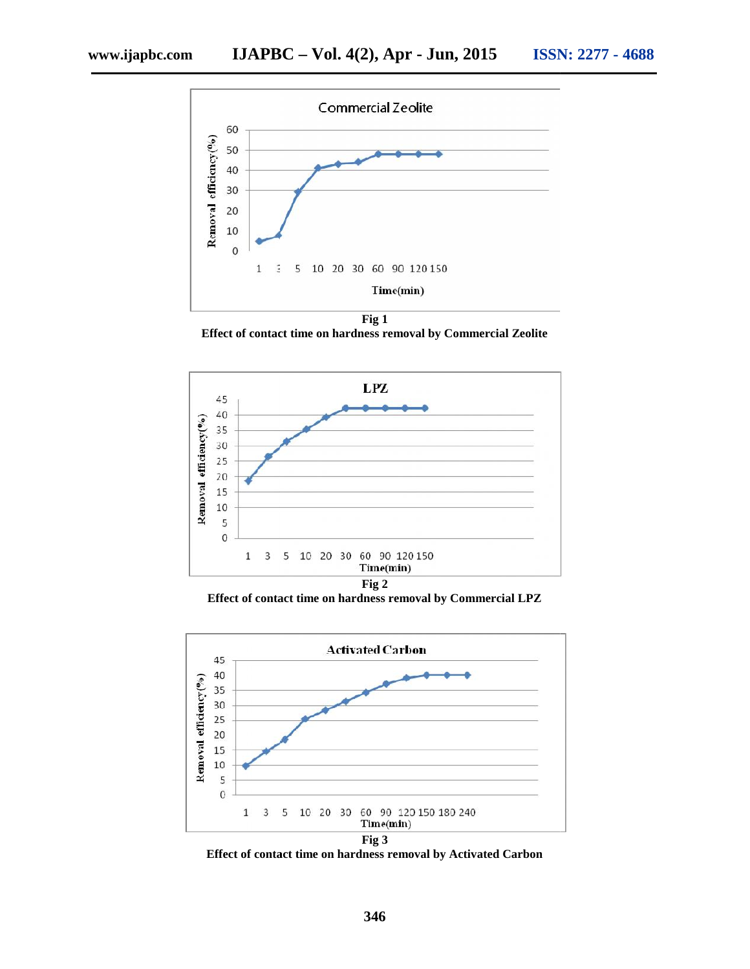

**Effect of contact time on hardness removal by Commercial Zeolite**



**Effect of contact time on hardness removal by Commercial LPZ**



**Effect of contact time on hardness removal by Activated Carbon**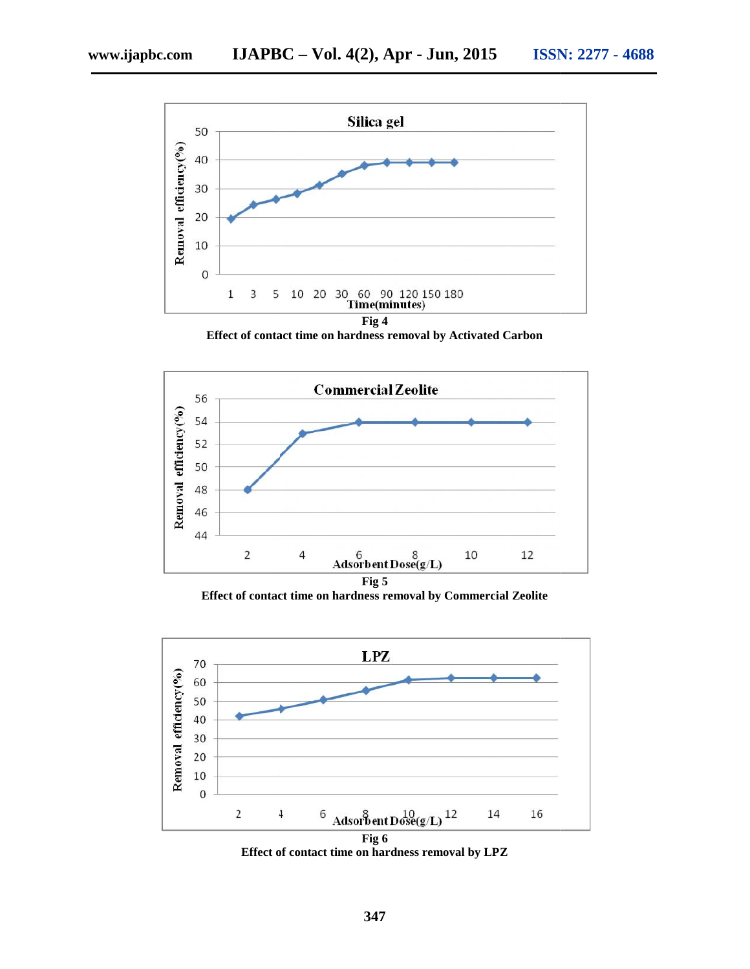

**Effect of contact time on hardness removal by Activated Carbon**



**Effect of contact time on hardness removal by Commercial Zeolite of contact** 



**Effect of contact time on hardness removal by LPZ**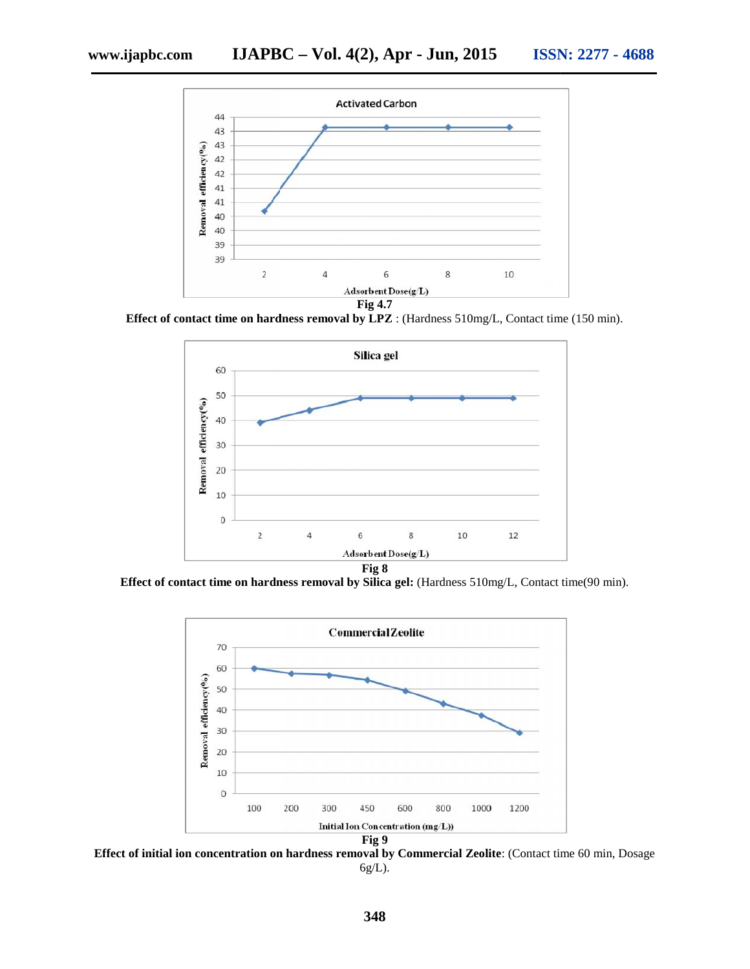

**Effect of contact time on hardness removal by LPZ** : (Hardness 510mg/L, Contact time (150 min).



**Effect of contact time on hardness removal by Silica gel:** (Hardness 510mg/L, Contact time(90 min).



**Effect of initial ion concentration on hardness removal by Commercial Zeolite: (Contact time 60 min, Dosage** 6g/L).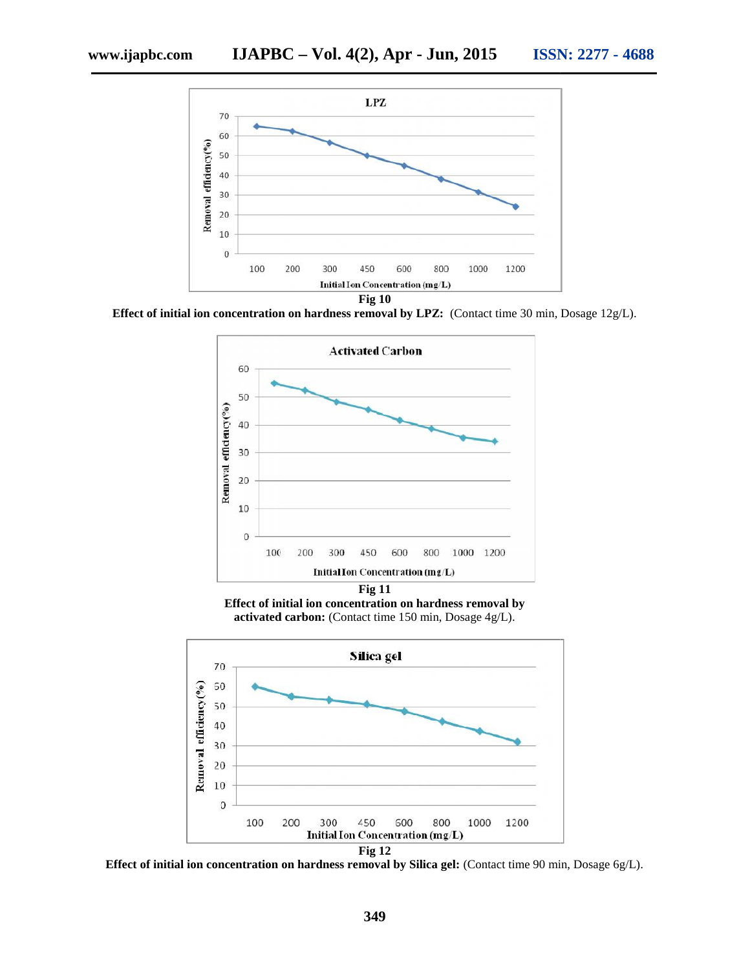

**Effect of initial ion concentration on hardness removal by LPZ:** (Contact time 30 min, Dosage 12g/L).



**Effect of initial ion concentration on hardness removal by** ffect of initial ion concentration on hardness removal by activated carbon: (Contact time 150 min, Dosage 4g/L).



**Effect of initial ion concentration on hardness removal by Silica gel:** (Contact time 90 min, Dosage 6g/L). **ion gel:**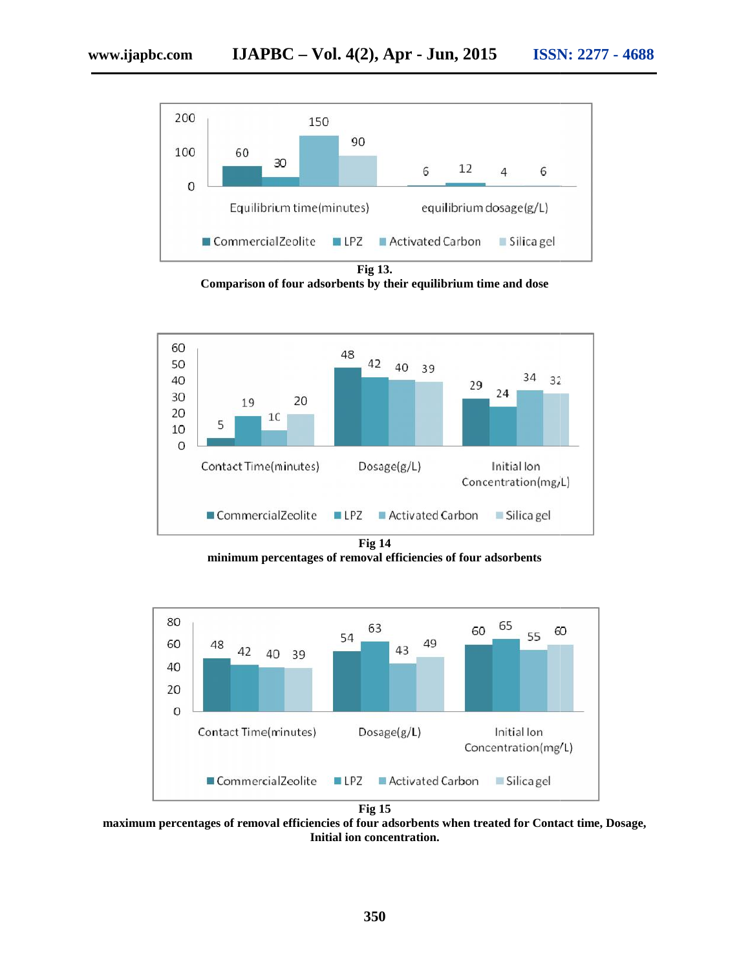

**Comparison of four adsorbents by their equilibrium time and dose**



**minimum percentages of removal efficiencies of four adsorbents**



**maximum percentages of removal efficiencies of four adsorbents when treated for Contact time, Dosage, Initial ion concentration.**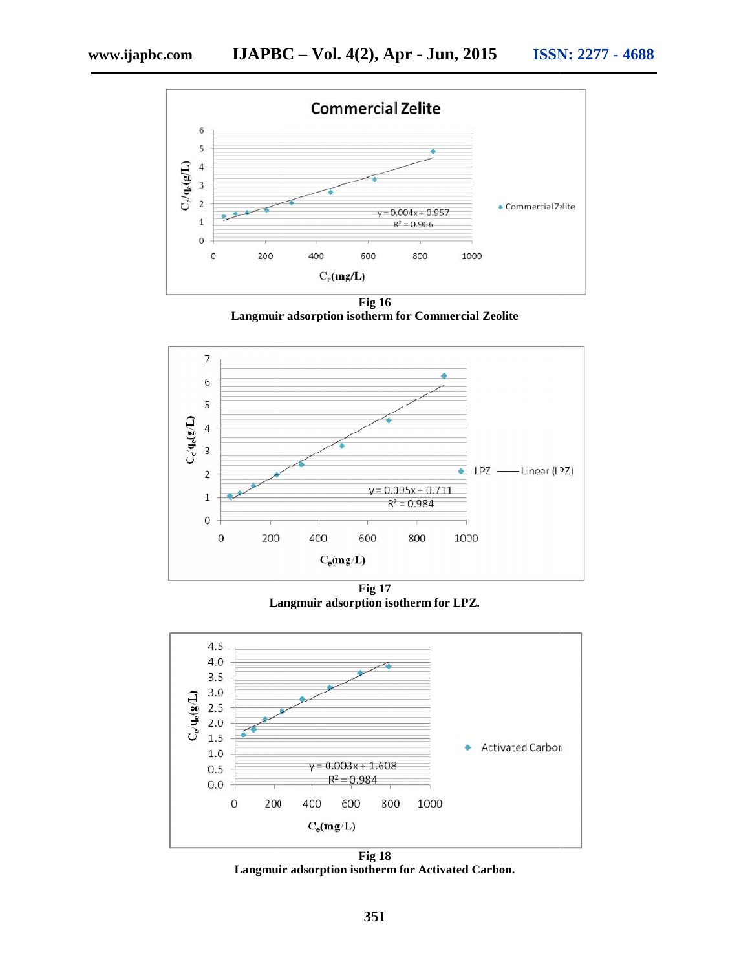

**Langmuir adsorption isotherm for Commercial Zeolite**



**Fig 17 Langmuir adsorption isotherm for LPZ.**



**Fig 18** Langmuir adsorption isotherm for Activated Carbon.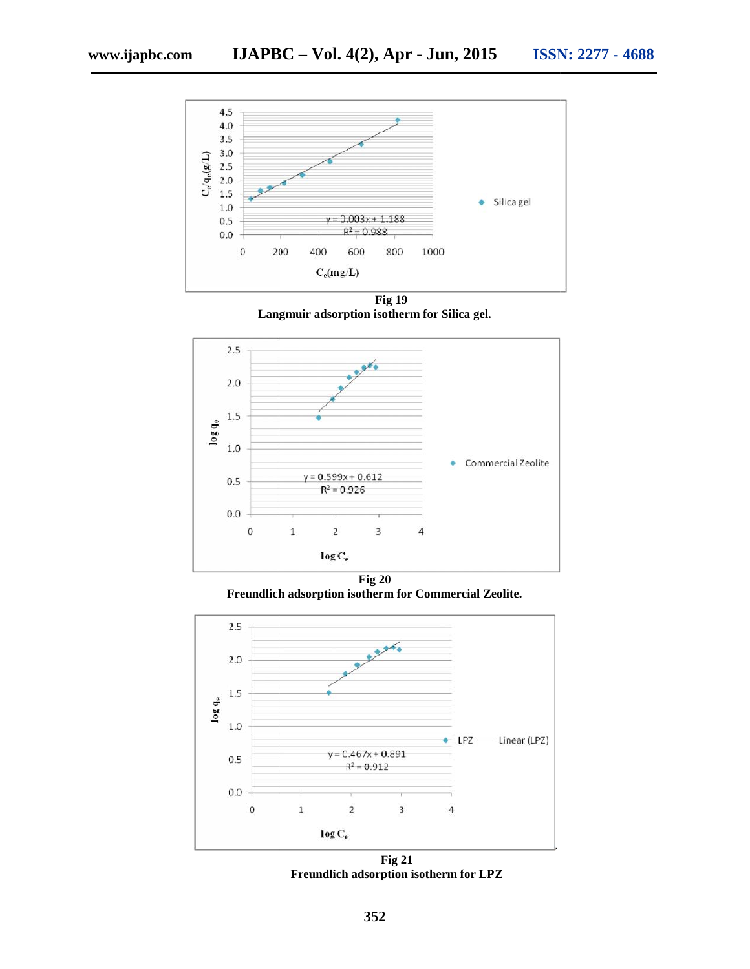

**Fig 19** Langmuir adsorption isotherm for Silica gel.



**Fig 20 Freundlich adsorption isotherm for Commercial Zeolite. Freundlich** 



**Fig 21 Freundlich adsorption isotherm for LPZ**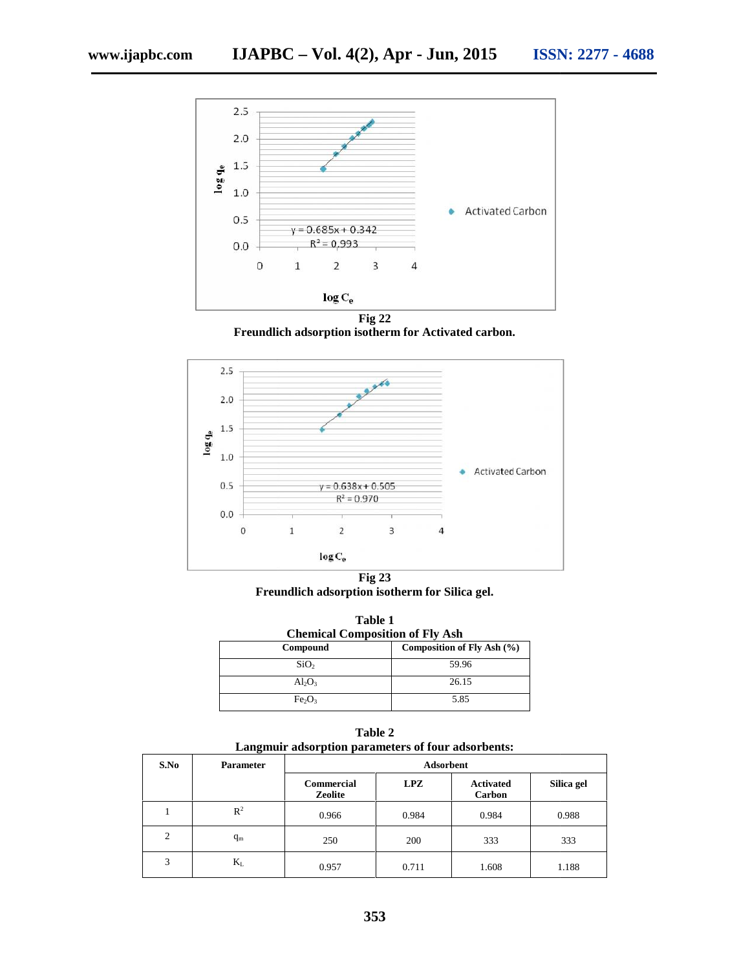

**Freundlich adsorption isotherm for Activated carbon.**



**Fig 23 Freundlich adsorption isotherm for Silica gel. Freundlich adsorption** 

| Table 1<br><b>Chemical Composition of Fly Ash</b> |                            |  |  |  |  |
|---------------------------------------------------|----------------------------|--|--|--|--|
| Compound                                          | Composition of Fly Ash (%) |  |  |  |  |
| SiO <sub>2</sub>                                  | 59.96                      |  |  |  |  |
| $Al_2O_3$                                         | 26.15                      |  |  |  |  |
| Fe <sub>2</sub> O <sub>3</sub>                    | 5.85                       |  |  |  |  |

**Table 2 Langmuir adsorption parameters of four adsorbents:**

| S.No     | <b>Parameter</b> | <b>Adsorbent</b>      |       |                            |            |  |
|----------|------------------|-----------------------|-------|----------------------------|------------|--|
|          |                  | Commercial<br>Zeolite | LPZ   | <b>Activated</b><br>Carbon | Silica gel |  |
|          | $R^2$            | 0.966                 | 0.984 | 0.984                      | 0.988      |  |
| $\gamma$ | $q_m$            | 250                   | 200   | 333                        | 333        |  |
| 3        | $K_{L}$          | 0.957                 | 0.711 | 1.608                      | 1.188      |  |